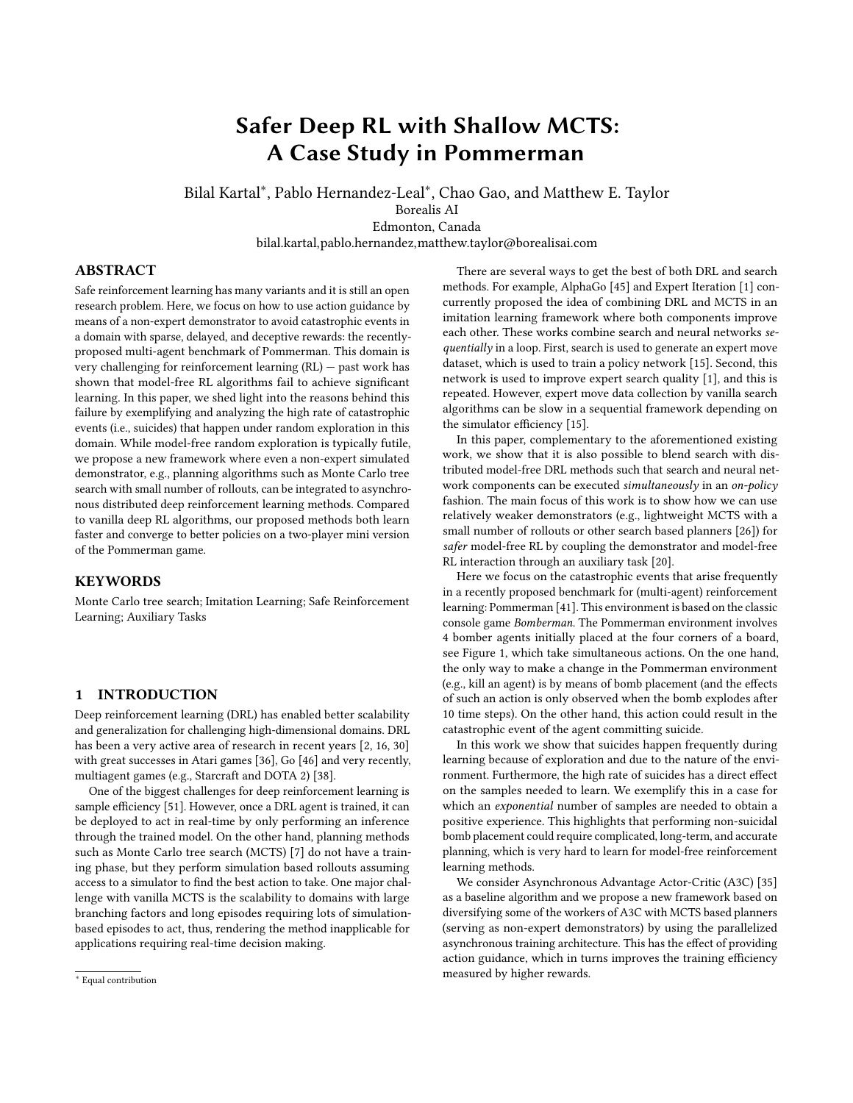# Safer Deep RL with Shallow MCTS: A Case Study in Pommerman

Bilal Kartal<sup>∗</sup> , Pablo Hernandez-Leal<sup>∗</sup> , Chao Gao, and Matthew E. Taylor Borealis AI Edmonton, Canada bilal.kartal,pablo.hernandez,matthew.taylor@borealisai.com

# ABSTRACT

Safe reinforcement learning has many variants and it is still an open research problem. Here, we focus on how to use action guidance by means of a non-expert demonstrator to avoid catastrophic events in a domain with sparse, delayed, and deceptive rewards: the recentlyproposed multi-agent benchmark of Pommerman. This domain is very challenging for reinforcement learning (RL) — past work has shown that model-free RL algorithms fail to achieve significant learning. In this paper, we shed light into the reasons behind this failure by exemplifying and analyzing the high rate of catastrophic events (i.e., suicides) that happen under random exploration in this domain. While model-free random exploration is typically futile, we propose a new framework where even a non-expert simulated demonstrator, e.g., planning algorithms such as Monte Carlo tree search with small number of rollouts, can be integrated to asynchronous distributed deep reinforcement learning methods. Compared to vanilla deep RL algorithms, our proposed methods both learn faster and converge to better policies on a two-player mini version of the Pommerman game.

# **KEYWORDS**

Monte Carlo tree search; Imitation Learning; Safe Reinforcement Learning; Auxiliary Tasks

#### 1 INTRODUCTION

Deep reinforcement learning (DRL) has enabled better scalability and generalization for challenging high-dimensional domains. DRL has been a very active area of research in recent years [\[2,](#page-8-0) [16,](#page-8-1) [30\]](#page-8-2) with great successes in Atari games [\[36\]](#page-8-3), Go [\[46\]](#page-8-4) and very recently, multiagent games (e.g., Starcraft and DOTA 2) [\[38\]](#page-8-5).

One of the biggest challenges for deep reinforcement learning is sample efficiency [\[51\]](#page-8-6). However, once a DRL agent is trained, it can be deployed to act in real-time by only performing an inference through the trained model. On the other hand, planning methods such as Monte Carlo tree search (MCTS) [\[7\]](#page-8-7) do not have a training phase, but they perform simulation based rollouts assuming access to a simulator to find the best action to take. One major challenge with vanilla MCTS is the scalability to domains with large branching factors and long episodes requiring lots of simulationbased episodes to act, thus, rendering the method inapplicable for applications requiring real-time decision making.

There are several ways to get the best of both DRL and search methods. For example, AlphaGo [\[45\]](#page-8-8) and Expert Iteration [\[1\]](#page-7-0) concurrently proposed the idea of combining DRL and MCTS in an imitation learning framework where both components improve each other. These works combine search and neural networks se $quentially$  in a loop. First, search is used to generate an expert move dataset, which is used to train a policy network [\[15\]](#page-8-9). Second, this network is used to improve expert search quality [\[1\]](#page-7-0), and this is repeated. However, expert move data collection by vanilla search algorithms can be slow in a sequential framework depending on the simulator efficiency [\[15\]](#page-8-9).

In this paper, complementary to the aforementioned existing work, we show that it is also possible to blend search with distributed model-free DRL methods such that search and neural network components can be executed simultaneously in an on-policy fashion. The main focus of this work is to show how we can use relatively weaker demonstrators (e.g., lightweight MCTS with a small number of rollouts or other search based planners [\[26\]](#page-8-10)) for safer model-free RL by coupling the demonstrator and model-free RL interaction through an auxiliary task [\[20\]](#page-8-11).

Here we focus on the catastrophic events that arise frequently in a recently proposed benchmark for (multi-agent) reinforcement learning: Pommerman [\[41\]](#page-8-12). This environment is based on the classic console game Bomberman. The Pommerman environment involves 4 bomber agents initially placed at the four corners of a board, see Figure [1,](#page-1-0) which take simultaneous actions. On the one hand, the only way to make a change in the Pommerman environment (e.g., kill an agent) is by means of bomb placement (and the effects of such an action is only observed when the bomb explodes after 10 time steps). On the other hand, this action could result in the catastrophic event of the agent committing suicide.

In this work we show that suicides happen frequently during learning because of exploration and due to the nature of the environment. Furthermore, the high rate of suicides has a direct effect on the samples needed to learn. We exemplify this in a case for which an exponential number of samples are needed to obtain a positive experience. This highlights that performing non-suicidal bomb placement could require complicated, long-term, and accurate planning, which is very hard to learn for model-free reinforcement learning methods.

We consider Asynchronous Advantage Actor-Critic (A3C) [\[35\]](#page-8-13) as a baseline algorithm and we propose a new framework based on diversifying some of the workers of A3C with MCTS based planners (serving as non-expert demonstrators) by using the parallelized asynchronous training architecture. This has the effect of providing action guidance, which in turns improves the training efficiency measured by higher rewards.

<sup>∗</sup> Equal contribution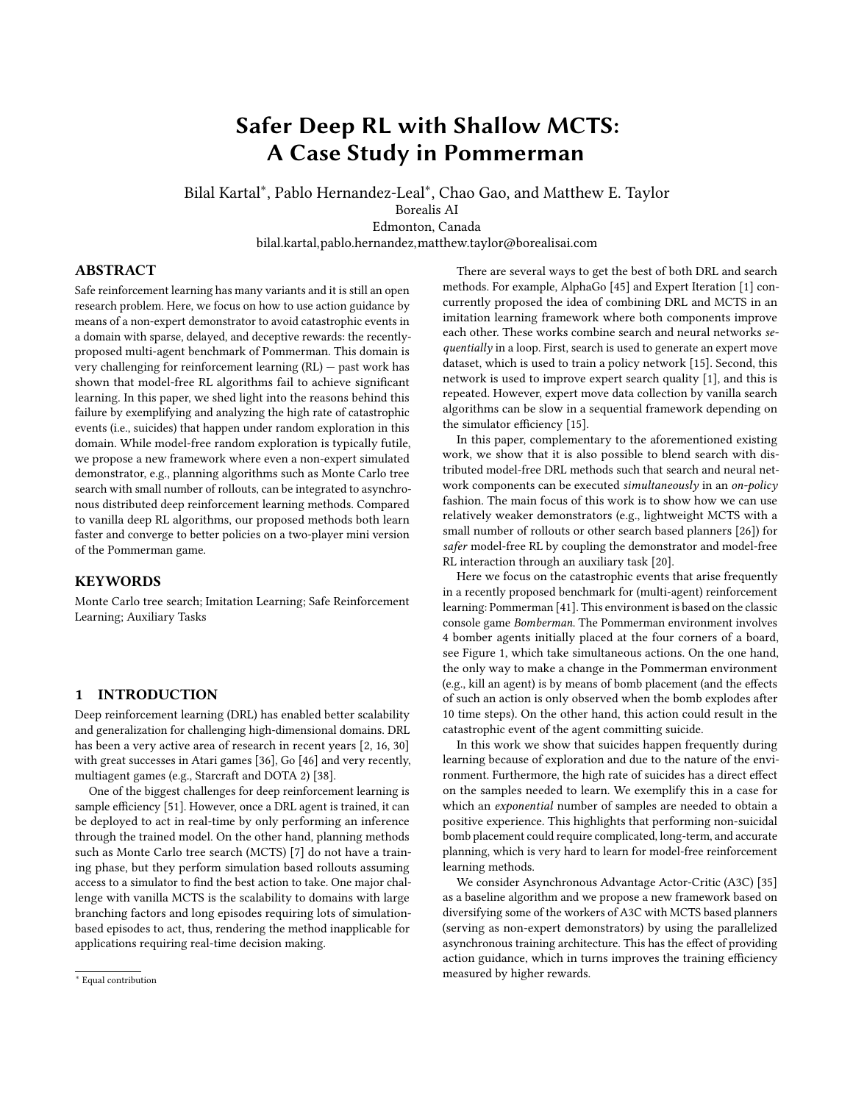<span id="page-1-0"></span>

Figure 1: A random initial board of Pommerman. Agents have 800 timesteps to blast opponents.

# 2 RELATED WORK

Our work lies at the intersection of the research areas of safe reinforcement learning, imitation learning, and Monte Carlo tree search based planning. In this section, we will mention some of the existing work in these areas.

# 2.1 Safe RL

Safe Reinforcement Learning tries to ensure reasonable system performance and/or respect safety constraints during the learning and/or deployment processes [\[13\]](#page-8-14). Roughly, there are two ways of doing safe RL: some methods adapt the optimality criterion, while others adapt the exploration mechanism. Since classical approaches to exploration like -greedy or Boltzmann exploration do not guarantee safety [\[12,](#page-8-15) [29\]](#page-8-16), the research area of safe exploration deals with the question – how can we build agents that respect the safety constraints not only during normal operation, but also during the initial learning period? [\[29\]](#page-8-16).

One model-based method proposed to learn the accuracy of the current policy and use another safe policy only in unsafe situations [\[14\]](#page-8-17). Lipton et al. [\[31\]](#page-8-18) proposed learning a risk-assessment model, called fear model, which predicts risky events to shape the learning process. Saunders et al. [\[44\]](#page-8-19) studied if human intervention could prevent catastrophic events; while the approach was successful in some Atari games, the authors argue it would not scale in more complex environments due to the amount of human labour needed.

#### 2.2 Imitation Learning

Domains where rewards are delayed and sparse are difficult exploration RL problems and are particularly difficult when learning tabula rasa. Imitation learning can be used to train agents much faster compared to learning from scratch.

Approaches such as DAgger [\[43\]](#page-8-20) or its extended version [\[49\]](#page-8-21) formulate imitation learning as a supervised problem where the aim is to match the performance of the demonstrator. However, the performance of agents using these methods is upper-bounded by the demonstrator performance.

Lagoudakis et al. [\[25\]](#page-8-22) proposed a classification-based RL method using Monte-Carlo rollouts for each action to construct a training dataset to improve the policy iteratively. Recent works such as Expert Iteration [\[1\]](#page-7-0) extend imitation learning to the RL setting where the demonstrator is also continuously improved during training. There has been a growing body of work on imitation learning where human or simulated demonstrators' data is used to speed up policy learning in RL [\[9,](#page-8-23) [11,](#page-8-24) [17,](#page-8-25) [37,](#page-8-26) [48\]](#page-8-27).

Hester et al. [\[17\]](#page-8-25) used demonstrator data by combining the supervised learning loss with the Q-learning loss within the DQN algorithm to pre-train and showed that their method achieves good results on Atari games by using a few minutes of game-play data. Cruz et al. [\[11\]](#page-8-24) employed human demonstrators to pre-train their neural network in a supervised learning fashion to improve feature learning so that the RL method with the pre-trained network can focus more on policy learning, which resulted in reducing training times for Atari games. Kim et al. [\[23\]](#page-8-28) proposed a learning from demonstration approach where limited demonstrator data is used to impose constraints on the policy iteration phase and they theoretically prove bounds on the Bellman error.

In some domains (e.g., robotics) the tasks can be too difficult or time consuming for humans to provide full demonstrations. Instead, humans can provide feedback [\[9,](#page-8-23) [32\]](#page-8-29) on alternative agent trajectories that RL can use to speed up learning. Along this direction, Christiano et al. [\[9\]](#page-8-23) proposed a method that constructs a reward function based on data containing human feedback with agent trajectories and showed that a small amount of non-expert human feedback suffices to learn complex agent behaviours.

# 2.3 Combining Search, DRL, and Imitation Learning

AlphaGo [\[45\]](#page-8-8) defeated the strongest human Go player in the world on a full-size board. It uses imitation learning by pretraining RL's policy network from human expert games with supervised learning [\[27\]](#page-8-30). Then, its policy and value networks keep improving by self-play games via DRL. Finally, an MCTS search skeleton is employed where a policy network narrows down move selection (i.e., effectively reducing the branching factor) and a value network helps with leaf evaluation (i.e., reducing the number of costly rollouts to estimate state-value of leaf nodes). AlphaGo Zero [\[46\]](#page-8-4) dominated AlphaGo even though it started to learn tabula rasa. AlphaGo Zero still employed the skeleton of MCTS algorithm, but it employed the value network for leaf node evaluation without any rollouts. Our work can be seen as complementary to these Expert Iteration based methods and differs in multiple aspects: (i) our framework specifically aims to enable on-policy model-free RL methods to explore safely in hard-exploration domains where negative rewarding terminal states are ubiquitous, in contrast to off-policy Expert-Iteration based methods which use intensive search to fully learn a policy; (ii) our framework is general in that other demonstrators (human or other simulated sources) can easily be integrated to provide action guidance by using the proposed auxiliary loss refinement; and (iii) our framework aims to use the demonstrator with a small lookahead (i.e., shallow) search to filter out actions leading to immediate negative terminal states so that model-free RL can imitate those safer actions to learn to safely explore.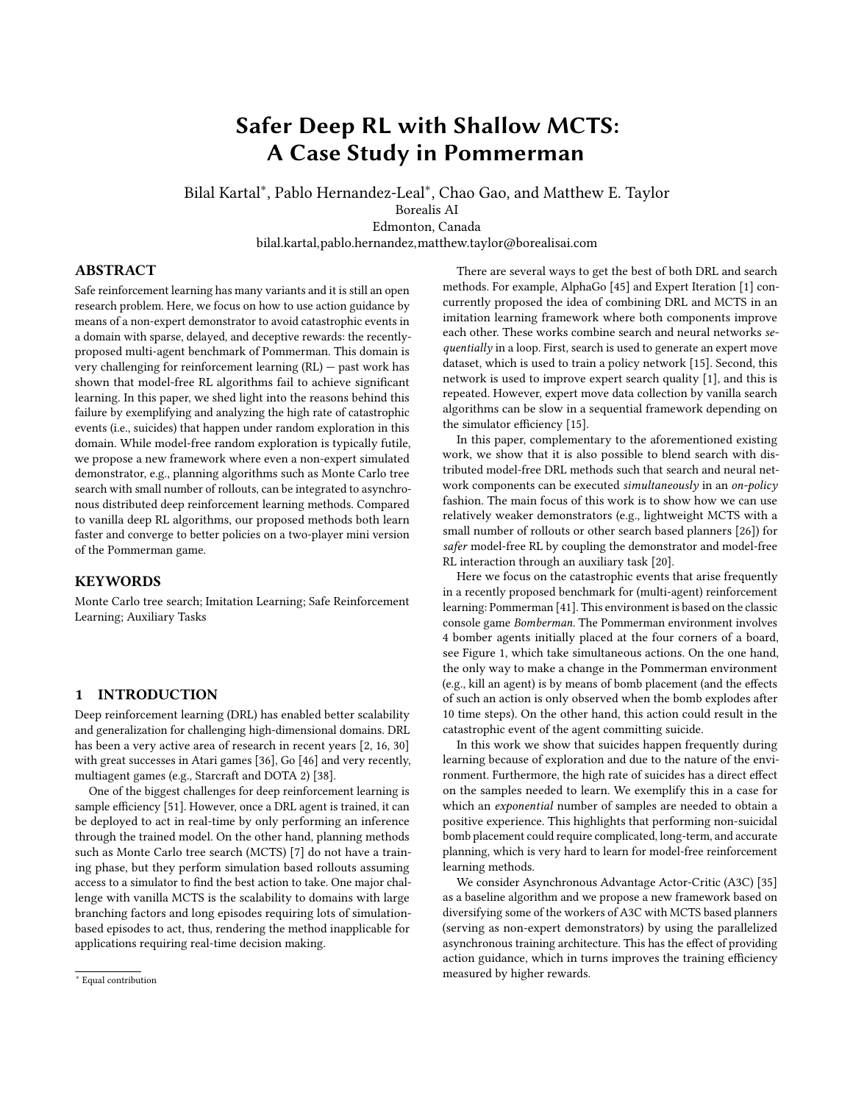#### 3 PRELIMINARIES

#### 3.1 Reinforcement Learning

We start with the standard reinforcement learning setting of an agent interacting in an environment over a discrete number of steps. At time  $t$  the agent in state  $s_t$  takes an action  $a_t$  and receives a reward  $r_t$ . The discounted return is defined as  $R_{t:\infty} = \int_{t=1}^{\infty} \frac{t}{t} r_t$ .<br>The state-value function. The state-value function,

$$
V (s) = \mathbb{E}[R_{t:\infty}|s_t = s; ]
$$

is the expected return from state s following a policy  $(a|s)$  and the action-value function is the expected return following policy after taking action a from state s:

$$
Q (s; a) = \mathbb{E}[R_{t:\infty}|s_t = s; a_t = a; ]
$$

The A3C method, as an actor-critic algorithm, has a policy network (actor) and a value network (critic) where the actor is parameterized by  $(a|s; )$  and the critic is parameterized by  $V(s; )$ , which are updated as follows:

$$
\Delta = \nabla \log (a_t | s_t; )A(s_t; a_t; )
$$
  

$$
\Delta = A(s_t; a_t; )\nabla_v V(s_t)
$$

where,

$$
A(s_t; a_t; ) = \sum_{k}^{\bullet} k_{r_{t+k} + n} V(s_{t+n}) - V(s_t)
$$

with  $A(s; a) = Q(s; a) - V(s)$  representing the *advantage* function.<br>The policy and the value function are undated after every t<sub>rea</sub> The policy and the value function are updated after every  $t_{max}$ actions or when a terminal state is reached. It is common to use one softmax output for the policy  $(a_t|s_t; \cdot)$  head and one linear<br>output for the value function  $l/(s_t; \cdot)$  head with all non-output output for the value function  $V(s_t; \cdot)$  head, with all non-output layers shared layers shared.

The loss function for A3C is composed of two terms: policy loss (actor),  $\mathcal L$ , and value loss (critic),  $\mathcal L$ . An entropy loss for the policy,  $H( )$ , is also commonly added which helps to improve exploration by discouraging premature convergence to suboptimal deterministic policies [\[35\]](#page-8-13). Thus, the loss function is given by:

$$
\mathcal{L}_{\text{A3C}} = \mathcal{L} + \mathcal{L} - \mu \mathbb{E}_{s} \sim [H((s; \cdot))]
$$

with = 0:5, = 1:0, and  $H = 0:01$ , being standard weighting terms on the individual loss components.

UNREAL [\[20\]](#page-8-11) proposed unsupervised auxiliary tasks (e.g., reward prediction) to speed up learning, which require no additional feedback from the environment. In contrast to A3C, UNREAL uses an experience replay buffer that is sampled with more priority given to positively rewarded interactions to improve the critic network. The UNREAL framework optimizes a single combined loss function  $\mathcal{L}_{\text{UNREAL}} \approx \mathcal{L}_{\text{A3C}} + A_{\text{T}} \mathcal{L}_{\text{A7}}$ , that combines the A3C loss,  $\mathcal{L}_{\text{A3C}}$ , together with an auxiliary task loss  $\mathcal{L}_{AT}$ , where  $A_T$  is a weight term.

#### 3.2 Monte Carlo Tree Search

Monte Carlo Tree Search is a best-first search algorithm that gained traction after its breakthrough performance in Go [\[10\]](#page-8-31). Other than for game playing agents [\[6,](#page-8-32) [47\]](#page-8-33) and playtesting agents [\[4,](#page-8-34) [18,](#page-8-35) [54\]](#page-8-36), MCTS has been employed for a variety of domains such as robotics [\[52\]](#page-8-37), continuous control tasks for animation [\[40\]](#page-8-38), and procedural

<span id="page-2-0"></span>

Figure 2: Overview of Monte Carlo Tree Search: (a) Selection: UCB is used recursively until a node with an unexplored action is selected. Assume that nodes A and B are selected. (b) Expansion: Node C is added to the tree. (c) Random Rollout: A sequence of random actions is taken from node C to complete the partial game. (d) Back-propagation: After the rollout terminates, the game is evaluated and the score is backpropagated from node C to the root.

puzzle generation [\[22\]](#page-8-39). One recent paper [\[50\]](#page-8-40) provided an excellent unification of MCTS and RL.

In MCTS a search tree is generated where each node in the tree represents a complete state of the domain and each link represents one possible action from the set of valid actions in the current state, leading to a child node representing the resulting state after applying that action. The root of the tree is the initial state (for example, the initial configuration of the Pommerman board including the agent location). MCTS proceeds in four phases of: selection, expansion, rollout, and back-propagation (see Figure [2\)](#page-2-0). The MCTS algorithm proceeds by repeatedly adding one node at a time to the current tree. Given that actions from the root to the expanded node is unlikely to terminate an episode, e.g., a Pommerman game can take up to 800 timesteps, MCTS uses random actions, a.k.a. rollouts, to estimate state-action values. After rollout phase, the total collected rewards during the episode is back-propagated through all existing nodes in the tree updating their empirical state-action value estimates.

Exploration vs. Exploitation Dilemma. Choosing which child node to expand (i.e., choosing which action to take) becomes an exploration/exploitation problem. We want to primarily choose actions that have good scores, but we also need to explore other possible actions in case the observed empirical average scores do not represent the true reward mean of that action. This exploration/exploitation dilemma has been well studied in other areas. Upper Confidence Bounds (UCB) [\[3\]](#page-8-41) is a selection algorithm that seeks to balance the exploration/exploitation dilemma. Using UCB with MCTS is also referred to as Upper Confidence bounds applied to Trees (UCT). Applied to our framework, each parent node s chooses its child s' with the largest  $UCB(s; a)$  value according to Eqn. [1.](#page-2-1)

<span id="page-2-1"></span>
$$
UCB(s; a) = Q(s; a) + C \frac{\ln n(s)}{n(s')}
$$
 (1)

Here,  $n(s)$  denotes number of visits to the node  $s$  and  $n(s')$  denotes the number of visits to  $S'$ , i.e., the resulting child node when taking action a from node s. The value of C determines the rate of exploration, where smaller C implies less exploration. Kocsis and Szepesvari [\[24\]](#page-8-42) showed that  $C = \sqrt{2}$  is necessary for asymptotic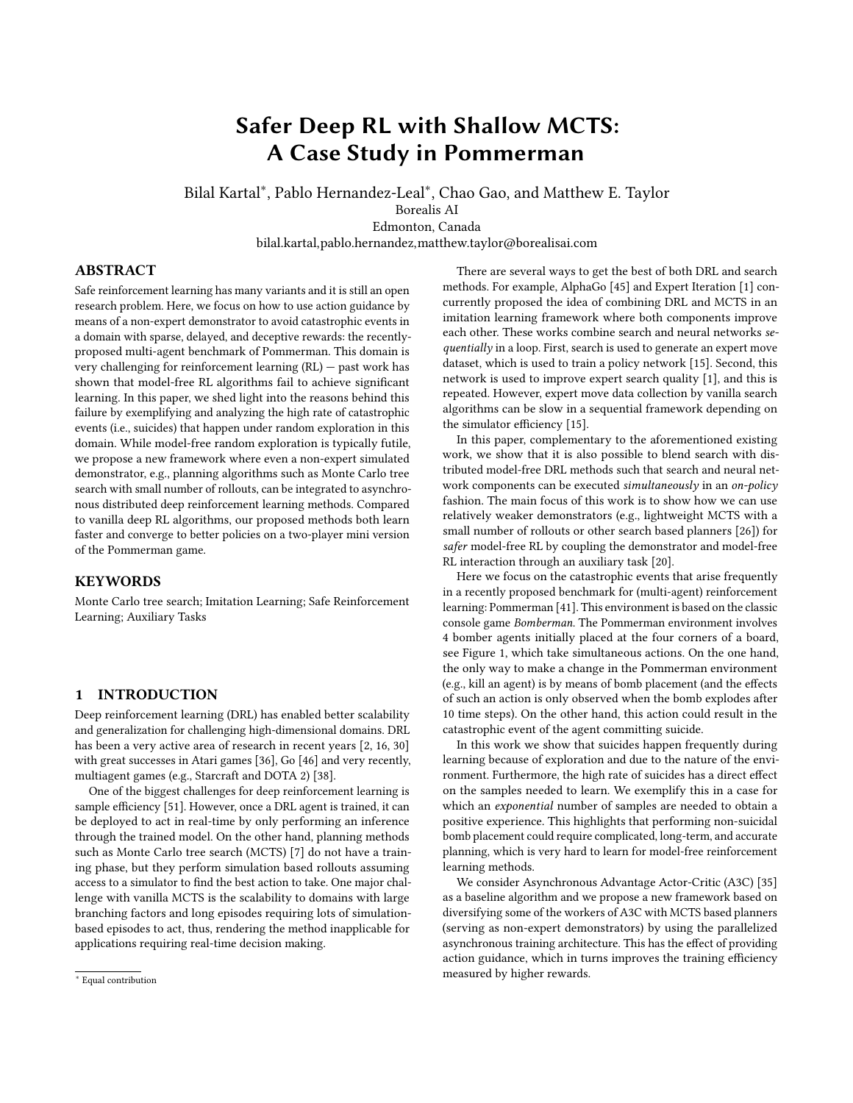convergence, however it can be tuned depending on the domain. In convergence, nowever it can be tuned depending on the domain. In<br>this work, we employed the default value of  $\sqrt{2}$  for the exploration constant.

## 4 SAFE RL WITH MCTS ACTION GUIDANCE

In this section, firstly, we present our framework PI-A3C (Planner Imitation - A3C) that extends A3C with a lightweight search based demonstrator through an auxiliary task based loss refinement as depicted in Figure [3.](#page-4-0) Secondly, we present the Pommerman domain in detail to analyze and exemplify the exploration complexity of that domain for pure model-free RL methods.

#### 4.1 Approach Overview

We propose a framework that can use planners, or other sources of demonstrators, along with asynchronous DRL methods to accelerate learning. Even though our framework can be generalized to a variety of planners and distributed DRL methods, we showcase our contribution using MCTS and A3C. In particular, our use of MCTS follows the approach of Kocsis and Szepesvari [\[24\]](#page-8-42) employing UCB to balance exploration versus exploitation during planning. During rollouts, we simulate all agents as random agents as in default unbiased MCTS and we perform limited-depth rollouts to reduce action-selection time.

The motivation for combining MCTS and asynchronous DRL methods stems from the need to improve training time efficiency even if the planner or environment simulator is very slow. In this work, we assume the demonstrator and actor-critic networks are decoupled, i.e., a vanilla UCT planner is used as a black-box that takes an observation and returns an action resembling UCTtoClassification method [\[15\]](#page-8-9), which uses MCTS to generate an expert move dataset and trains a NN in a supervised fashion to imitate MCTS. However, they used a high-number of rollouts (10K) per action selection to construct an expert dataset. In contrast, we show how vanilla MCTS with a small number of rollouts $^1$  $^1$  ( $\approx$  100) can still be employed in an on-policy fashion to improve training efficiency for actor-critic RL in challenging domains with abundant easily reachable terminal states with negative rewards.

Within A3C's asynchronous distributed architecture, all the CPU workers perform agent-environment interaction with their neural network policy networks, see Figure [3\(](#page-4-0)a). In our new framework, PI-A3C (Planner Imitation with A3C), we assign  $k \geq 1$  CPU workers (we present experimental results with different  $k$  values in Section [5.2\)](#page-5-0) to perform MCTS based planning for agent-environment interaction based on the agent's observations, while also keeping track of what its neural network would perform for those observations, see Figure [3\(](#page-4-0)b). In this fashion, we both learn to imitate the MCTS planner and to optimize the policy. The main motivation for PI-A3C framework is to increase the number of agent-environment interactions with positive rewards for hard-exploration RL problems to improve training efficiency.

Note that the planner-based worker still has its own neural network with actor and policy heads, but action selection is performed by the planner while its policy head is used for loss computation. In

particular, the MCTS planner based worker augments its loss func-tion with the auxiliary task of Planner Imitation<sup>[2](#page-3-1)</sup>. The auxiliary loss is defined as  $\mathcal{L}_{PI} = -\frac{1}{N} \int_{0}^{N} a_0^j \log(a_0^j)$ , which is the supervised cross entropy loss between  $a_0^j$  and  $a_0^j$ , representing the one-hot encoded action the planner used and the action the actor (with policy head) would take for the same observation respectively during an episode of length N. The demonstrator worker's loss after the addition of Planner Imitation is defined by

$$
\mathcal{L}_{\text{PI-ASC}} = \mathcal{L}_{\text{ASC}} + p_{\text{I}} \mathcal{L}_{\text{PI}}
$$

where  $p_1 = 1$  is a weight term (which was not tuned). In PI-A3C the rest of the workers (not demonstrators) are left unchanged, still using the policy head for action selection with the unchanged loss function. By formulating the Planner Imitation loss as an auxiliary loss, the objective of the resulting framework becomes a multitask learning problem [\[8\]](#page-8-44) where the agent aims to learn to both maximize the reward and imitate the planner.

#### 4.2 Pommerman

In Pommerman, each agent can execute one of 6 actions at every timestep: move in any of four directions, stay put, or place a bomb. Each cell on the board can be a passage, a rigid wall, or wood. The maps are generated randomly, albeit there is always a guaranteed path<sup>[3](#page-3-2)</sup> between any two agents. Whenever an agent places a bomb it explodes after 10 timesteps, producing flames that have a lifetime of 2 timesteps. Flames destroy wood and kill any agents within their blast radius. When wood is destroyed either a passage or a power-up is revealed. Power-ups can be of three types: increase the blast radius of bombs, increase the number of bombs the agent can place, or give the ability to kick bombs. A single game is finished when an agent dies or when reaching 800 timesteps.

Pommerman is a challenging benchmark for multi-agent learning and model-free reinforcement learning, due to the following characteristics:

Multiagent component: the agent needs to best respond to any type of opponent, but agents' behaviours also change based on the collected power-ups, i.e., extra ammo, bomb blast radius, and bomb kick ability.

Delayed action effects: the only way to make a change to the environment (e.g., kill an agent) is by means of bomb placement, but the effect of such an action is only observed when the bombs explodes after 10 time steps.

Sparse and deceptive rewards: the former refers to the fact that the only non-zero reward is obtained at the end of an episode. The latter refers to the fact that quite often a winning reward is due to the opponents' involuntary suicide, which makes reinforcing an agent's action based on such a reward deceptive.

For these reasons, we consider this game challenging for many standard RL algorithms and a local optimum is commonly learned, i.e., not placing bombs [\[41\]](#page-8-12).

Some other recent works also used Pommerman as a test-bed, for example, Zhou et al. [\[53\]](#page-8-45) proposed a hybrid method combining

<span id="page-3-0"></span><sup>&</sup>lt;sup>1</sup>In Pommerman 10K rollouts would take hours due to very slow simulator and long horizon [\[34\]](#page-8-43).

<span id="page-3-1"></span> $^2\mbox{Both Guo et al.}$  [\[15\]](#page-8-9) and Anthony et al. [\[1\]](#page-7-0) used MCTS moves as a learning target, referred to as Chosen Action Target. Our Planner Imitation loss is similar except in this work, we employed cross-entropy loss in contrast to a KL divergence based one.

<span id="page-3-2"></span> $3$ Although this path can be initially blocked by wood, thus, needing clearance by bombs.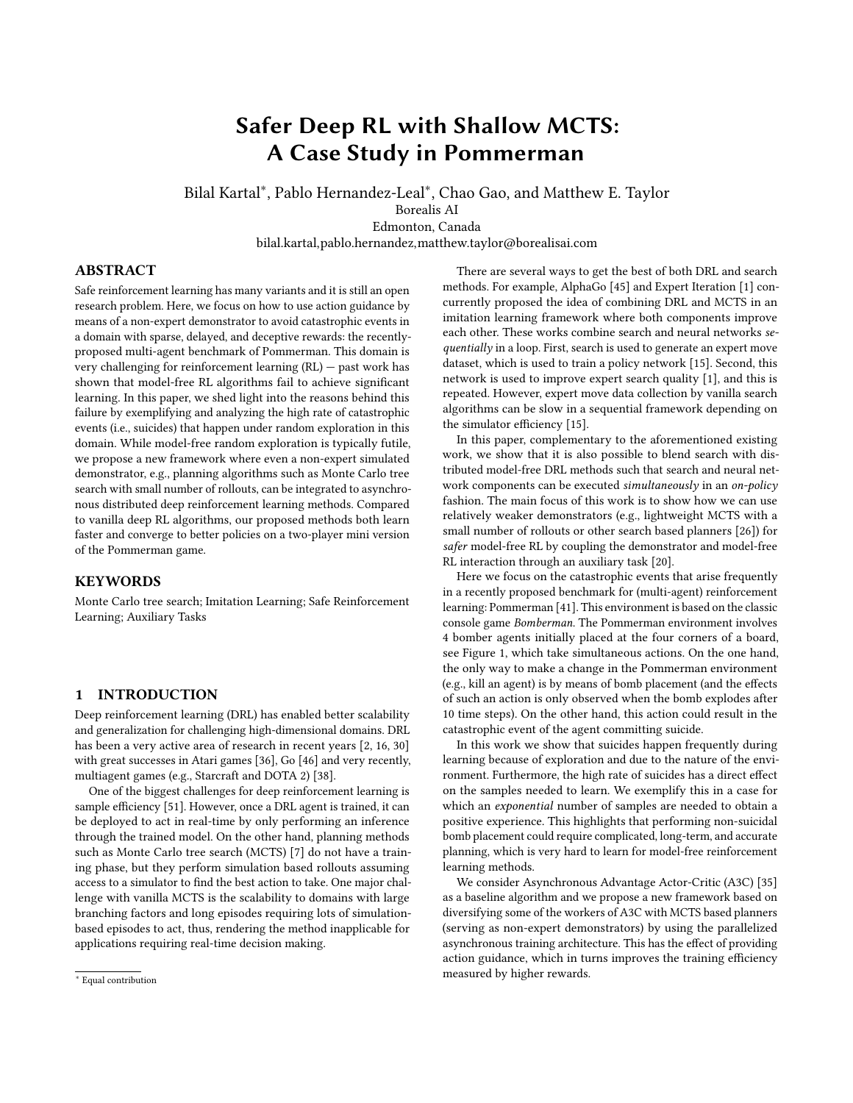<span id="page-4-0"></span>

Figure 3: a) In the A3C framework, each worker independently interacts with the environment and computes gradients. Then, each worker asynchronously passes the gradients to the global neural network which updates parameters and synchronizes with the respective worker. b) In our proposed framework, Planner Imitation based A3C (PI-A3C),  $k \ge 1$  CPU workers are assigned as MCTS based demonstrators taking MCTS actions, while keeping track of what action its actor network would take. The demonstrator workers have an additional auxiliary supervised loss. PI-A3C enables the network to simultaneously optimize the policy and learn to imitate the MCTS.

rule-based heuristics with depth-limited search. Resnick et al. [\[42\]](#page-8-46) proposed a framework that uses a single demonstration to generate a training curriculum for sparse reward RL problems (assuming episodes can be started from arbitrary states). Lastly, relevance graphs, which represent the relationship between agents and environment objects [\[33\]](#page-8-47), are another approach to deal with the complex Pommerman game.

# 4.3 Catastrophic events in Pommerman: Suicides

Before presenting the experimental results of our approach we motivate the need for safe exploration by providing two examples and a short analysis of the catastrophic events that occur in Pommerman.

It has been noted that in Pommerman the action of bomb placing is highly correlated to losing [\[41\]](#page-8-12). This is presumably a major impediment for achieving good results using model-free reinforcement learning. Here, we provide an analysis of the suicide problem that delays or even prevents to learn the bombing skill when an agent follows a random exploration policy.

In Pommerman an agent can only be killed when it intersects with an exploding bomb's flames, then we say a *suicide* event happens if the death of the agent is caused by a previously placed own bomb. For the ease of exposition we consider the following simplified scenario: (i) the agent has ammo=1 and has just placed a bomb (i.e., the agent now sits on the bomb). (ii) For the next time steps until the bomb explodes the agent has 5 actions available at every time step (move in 4 directions or do nothing); and (iii) all other items on the board are static.

Example 1. We take as example the board configuration depicted in Figure [1](#page-1-0) and show the probability of ending in a certain position for  $t = 9$  (which is the time step that the bomb will explode) for the 4 agents, see Figure [4.](#page-4-1) This is a typical starting board in Pommerman, where every agent stays in its corner; they are disconnected with each other by randomly generated wood and walls. From this figure

<span id="page-4-1"></span>

|     |                             |             | .08 |  |   |     |     |                             |     |
|-----|-----------------------------|-------------|-----|--|---|-----|-----|-----------------------------|-----|
|     | $\star$ .01 $\star$ .18,.13 |             |     |  | п |     |     | $.15 \times .23 \times .01$ |     |
|     | $\star$ .18.20              |             | ■   |  |   | .08 |     | $\star$ .14.12              |     |
| .08 | .13                         | ■           |     |  |   | .04 |     | .12                         | .11 |
| ▬   |                             |             |     |  | ٠ |     |     |                             |     |
|     |                             |             |     |  | ■ |     |     |                             |     |
| ■   | ٠                           | ٠           |     |  |   | ■   |     |                             |     |
|     | .15                         | .08         | .04 |  | ٠ | .04 | .05 | .05                         | .04 |
| ٠   | $\star$ .23                 |             | ٠   |  |   | .05 |     | $.06 \star .06$             | ٠   |
|     | $\star.01\star.14.12$       |             |     |  |   |     |     | .05 ★.06★.00★.17            |     |
|     |                             | $.12$ $.11$ |     |  |   | .04 |     | $\star$ .17.17              |     |

Figure 4: Probabilities of being at each cell for  $t = 9$  (after a bomb explodes) for each agent.?indicates the cell is covered by flames and ■ represents an obstacle, which can be wood or a rigid cell. For each agent, the probabilities of suicide are  $\approx 0.4$ . Survival probability after placing b bombs is computed by  $(1-0.4)^{D}$ , showing that it quickly approaches 0 (similar)<br>the probability of gatting b beads in b consecutive coin flips) the probability of getting  $b$  heads in  $b$  consecutive coin flips), showing high exploration difficulty.

we can see that for each of the four agents, even when their configuration is different, their probabilities of ending up with suicide are  $\approx 40\%$  (0:39; 0:38; 0:46; 0:38, respectively, in counter clockwise order starting from upper-left corner) — these are calculated by summing up the positions where there is a flame, represented by ?.

Indeed, the problem of suicide stems from acting randomly without considering constraints of the environment. In extreme cases, in each time step, the agent may have only one survival action, which means the safe path is always unique as  $t$  increases while the total number grows exponentially. We illustrate this by the following corridor example.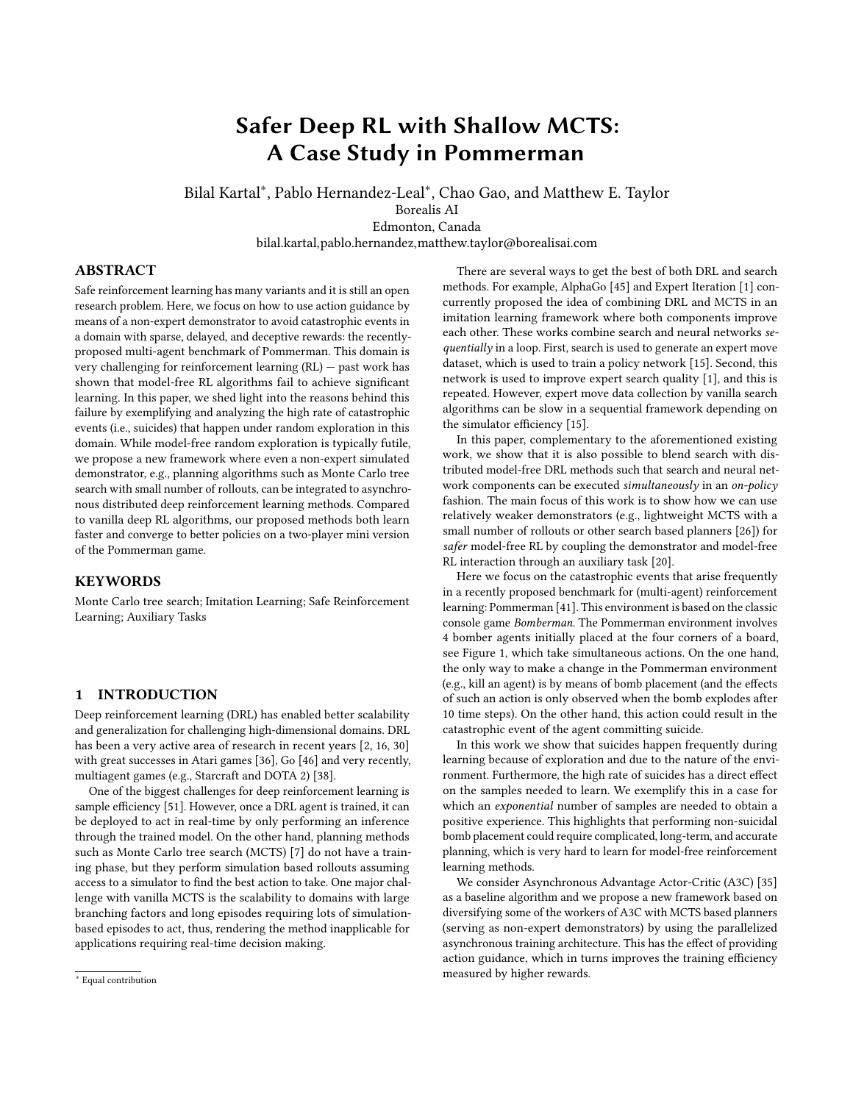<span id="page-5-1"></span>

Figure 5: The corridor scenario: the agent places a bomb with **strength=10** on the leftmost cell. For each passage cell, the marked value means the minimum number of steps it is required to safely evade from impact of the bomb. After placing the bomb, in the next step the bomb has life of 9, thus in the remaining 9 steps, the agent must always take the unique correct action to survive.

Example 2. Figure [5](#page-5-1) shows a worst-case example: the agent is in a corridor formed by wood at two sides and places a bomb. If using random exploration the chance of ending up in suicide is extremely high since among the  $5^9$  "paths," i.e., action trajectories  $-$  only one of them is safe. In order to survive, it must precisely follow the right action at each time step.

Note that in cases like the corridor scenario even if the agent is modestly model-aware, i.e., it may only look one step-ahead, the number of possible action trajectories is still exponential, while the survival path remains unique. This also implies that for such sub-problems in Pommerman, acquiring one positive behaviour example requires exponential number of samples.

# 5 EXPERIMENTS AND RESULTS

In this section, we present the experimental setup and results against different opponents in a simplified version of the Pommerman game. We run ablation experiments on the contribution of Planner Imitation to compare against the standard A3C method for: (i) single demonstrator with different expertise levels, (ii) different number of demonstrators with the same expertise level, and (iii) using rollout biasing within MCTS in contrast to uniform random rollout policy.

All the training curves are obtained from 3 runs with different random seeds. From these 3 separate runs, we compute average learning performance (depicted with bold color curves) and standard deviations (depicted with shaded color curves). At every training episode, the board is randomized ,i.e., the locations of wood and rigid cells are shuffled.

#### 5.1 Setup

Because of all the complexities mentioned in this domain we simplified it by considering a game with only two agents and a reduced board size of  $8 \times 8$ , see Figure [6.](#page-5-2) Note that we still randomize the location of walls, wood, power-ups, and the initial position of the agents for every episode. We considered two types of opponents in our experiments:

- Static opponents: the opponent waits in the initial position and always executes the 'stay put' action. This opponent provides the easiest configuration (excluding suicidal opponents). It is a baseline opponent to show how challenging the game is for model-free RL.
- Rule-based opponents: this is the benchmark agent within the simulator. It collects power-ups and places bombs when it is

<span id="page-5-2"></span>

Figure 6: An example of the  $8 \times 8$  Mini-Pommerman board, randomly generated by the simulator. Agents' initial positions are randomized among four corners at each episode.

near an opponent. It is skilled in avoiding blasts from bombs. It uses Dijkstra's algorithm on each time-step, resulting in longer training times.

Details regarding neural network architecture and implementation are provided in the appendix.

#### <span id="page-5-0"></span>5.2 Results

We conducted two sets of experiments learning against Static and Rule-based opponents. We compare our proposed methods with respect to standard A3C with learning curves in terms of converged policies and time-efficiency. All approaches were trained using 24 CPU cores. For a fair comparison all training curves for PI-A3C variants are obtained by using only the neural network policy network based workers, excluding rewards obtained by the demonstrator worker to accurately observe the performance of model-free RL.

On action guidance, quantity versus quality. Within our framework, we can vary the expertise level of MCTS by simply changing the number of rollouts games per move for the demonstrator worker. We experimented with 75 and 150 rollouts. Given finite training time, higher rollouts imply deeper search and better moves, however, it also implies that number of guided actions by the demonstrators will be fewer in quantity, reducing the number of asynchronous updates to the global neural network. As Figure [7](#page-6-0) shows against both opponents the relatively weaker demonstrator (75 rollouts) enabled faster learning than the one with 150 rollouts. We hypothesize that the faster demonstrator (MCTS with only 75 rollouts) makes more updates to the global neural network, warming up other purely model-free workers for safer exploration much earlier in contrast to the slower demonstrator. This is reasonable as the model-free RL workers constitute all but one of the CPU workers in these experiments, therefore the earlier the model-free workers can start safer exploration, the better the learning progress is likely to be.<sup>[4](#page-5-3)</sup>

On the trade-off of using multiple demonstrators. Our proposed method is built on top of an asynchronous distributed framework that uses several CPU workers:  $k \geq 1$  act as a demonstrator and the rest of them explore in model-free fashion. We conducted one experiment to better understand how increasing the number of

<span id="page-5-3"></span><sup>&</sup>lt;sup>4</sup>Even though we used MCTS with fixed number of rollouts, this could be set dynamically, for example, by exploiting the reward sparsity or variance specific to the problem domain, e.g., using higher number of rollouts when close to bombs or opponents.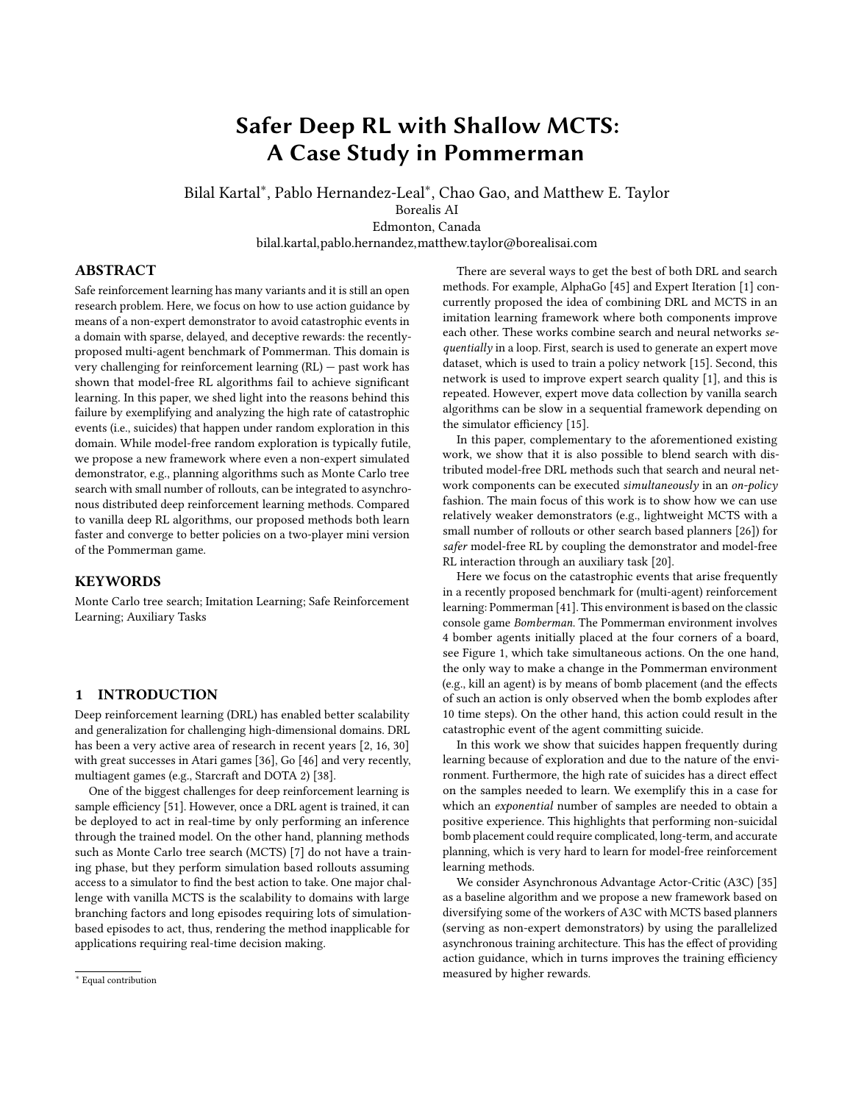<span id="page-6-0"></span>

Figure 7: Both figures are obtained from 3 training runs showing the learning performance with mean (bold lines) and standard deviation (shaded lines). 24 CPU workers are used for all experiments, and all PI-A3C variants use only 1 Demonstrator worker. a) Against Static agent, all variants have been trained for 12 hours. The PI-A3C framework using MCTS demonstrator with 75 and 150 rollouts learns significantly faster compared to the standard A3C. b) Against Rule-based opponent, all variants have been trained for 3 days. Against this more skilled opponent, PI-A3C provides significant speed up in learning performance, and finds better best response policies. For both (a) and (b), increasing the expertise level of MCTS through doubling the number of rollouts (from 75 to 150) does not yield improvement, and even can hurt performance. Our hypothesis is that slower planning decreases the number of demonstrator actions too much for the model-free RL workers to learn to imitate for safe exploration.

demonstrators, each of which provides additional Planner Imitation losses asynchronously, affects the learning performance. The tradeoff is that more demonstrators imply fewer model-free workers to optimize the main task, but also a higher number of actions to imitate. We present the results in Figure [8](#page-6-1) where we experimented 3 and 6 demonstrators, with identical resources and with 150 rollouts each. Results show that increasing to 3 improves the performance while extending to 6 demonstrators does not provide any marginal improvement. We can also observe that 3 demonstrator version using 150 rollouts presented in Figure [8](#page-6-1) has a relatively similar performance with the 1 demonstrator version using 75 rollouts depicted in Figure [7\(](#page-6-0)b), which is aligned with our hypothesis that providing more demonstrator guidance early during learning is more valuable than fewer higher quality demonstrations.

Demonstrator biasing with policy network. Uniform random rollouts employed by vanilla MCTS to estimate state-action values provide an unbiased estimate, however due to the high variance, it requires many rollouts. One way to improve search efficiency has been through different biasing strategies rather than using uniform rollout policy, such as prioritizing actions globally based on their evaluation scores [\[21\]](#page-8-48), using heuristically computed move urgency values [\[5\]](#page-8-49), or concurrently learning a rollout policy RL [\[19\]](#page-8-50). In a similar vein with these methods, we let the MCTS based demonstrator to use the policy network during the rollout phase. We name this refined version as PI-A3C-NN (Planner Imitation - A3C with Neural Network). Our results suggest that employing a biased rollout

<span id="page-6-1"></span>

Figure 8: Learning against Rule-based opponent. Employing different number  $(n = 1, 3, 6)$  of Demonstrators within the asynchronous distributed framework. Increasing from 1 to 3 the number of demonstrators also improved the results, however, there is almost no variation from 3 to 6 demonstrators. They all outperform standard A3C, see Figure [7\(](#page-6-0)b).

policy provides improvement in the average learning performance, however it has higher variance as depicted in Figure [9.](#page-7-1)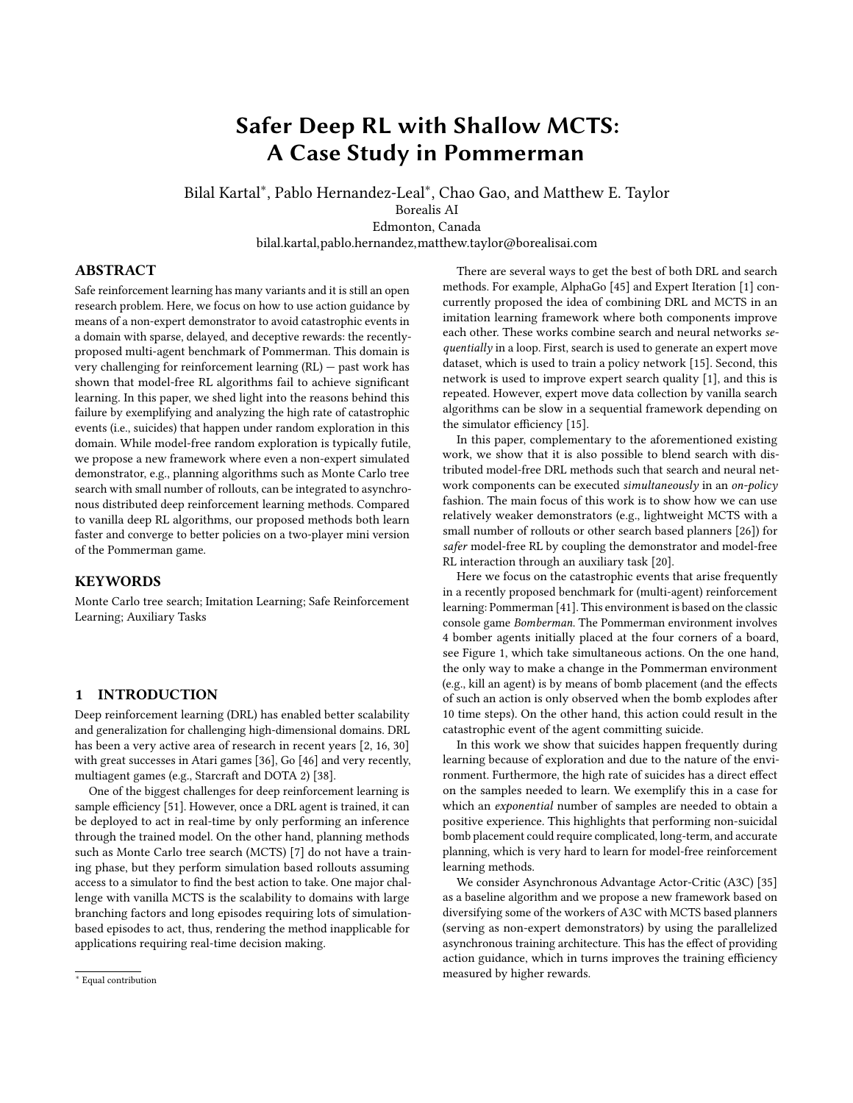<span id="page-7-1"></span>

Figure 9: Learning against Rule-based opponent. Employing policy network during MCTS rollout phase within the demonstrator provides improvement in learning speed, but it has higher variance compared to employing the standard uniform random rollouts.

# 6 DISCUSSION

In Pommerman, the main challenge for model-free RL is the high probability of suicide while exploring (yielding a negative reward), which occurs due to the delayed bomb explosion. However, the agent cannot succeed without learning how to stay safe after bomb placement. The methods and ideas proposed in this paper address this hard-exploration challenge. The main idea of our proposed framework is to use MCTS as a shallow demonstrator (small number of rollouts). This yielded fewer training episodes with catastrophic suicides as imitating MCTS provided improvement for a safer exploration. Concurrent work has proposed the use of pessimistic scenarios to constraint real-time tree search [\[39\]](#page-8-51). Other recent work [\[28\]](#page-8-52) employed MCTS as a high-level planner, which is fed a set of low-level offline learned DRL policies and refines them for safer execution within a simulated autonomous driving domain.

There are several directions to extend our work. One direction is to investigate how to formulate the problem so that ad-hoc invocation of an MCTS based simulator can be employed. Currently, MCTS provides a safe action continuously, but action guidance can be employed only when the model-free RL agent indeed needs one, e.g., in Pommerman whenever a bomb is about to go off or near enemies where enemy engagement requires strategic actions.

All of our work presented in the paper is on-policy for better comparison to the standard A3C method — we maintain no experience replay buffer. This means that MCTS actions are used only once to update neural network and thrown away. In contrast, UNREAL uses a buffer and gives higher priority to samples with positive rewards. We could take a similar approach to save demonstrator's experiences to a buffer and sample based on the rewards.

# 7 CONCLUSIONS

Safe reinforcement learning has many variants and it is still an open research problem. In this work, we present a framework that uses a non-expert simulated demonstrator within a distributed asynchronous deep RL method to succeed in hard-exploration domains. Our experiments use the recently proposed Pommerman domain, a very challenging benchmark for pure model-free RL methods as the rewards are sparse, delayed, and deceptive. We provide examples of these issues showing that RL agents fail mainly because the main skill to be learned is highly correlated with negative rewards due to the high-probability of catastrophic events. In our framework, model-free workers learn to safely explore and acquire this skill by imitating a shallow search based non-expert demonstrator. We performed different experiments varying the quality and the number of demonstrators. The results shows that our proposed method shows significant improvement in learning efficiency across different opponents.

## APPENDIX

Neural Network Architecture: For all methods described in the paper, we use a deep neural network with 4 convolutional layers, each of which has 32 filters and  $3 \times 3$  kernels, with stride and padding of 1, followed with 1 dense layer with 128 hidden units, followed with 2-heads for actor and critic (where the actor output corresponds to probabilities of 6 actions, and the critic output corresponds to state-value estimate). Neural network architectures were not tuned.

NN State Representation: Similar to [\[41\]](#page-8-12), we maintain 28 feature maps that are constructed from the agent observation. These channels maintain location of walls, wood, power-ups, agents, bombs, and flames. Agents have different properties such as bomb kick, bomb blast radius, and number of bombs. We maintain 3 feature maps for these abilities per agent, in total 12 is used to support up to 4 agents. We also maintain a feature map for the remaining lifetime of flames. All the feature channels can be readily extracted from agent observation except the opponents' properties and the flames' remaining lifetime, which can be tracked efficiently by comparing sequential observations for fully-observable scenarios.

Hyperparameter Tuning: We did not perform a through hyperparameter tuning due to long training times. We used  $a = 0.999$ for discount factor. For A3C, the default weight parameters are employed, i.e., <sup>1</sup> for actor loss, <sup>0</sup>:<sup>5</sup> for value loss, and <sup>0</sup>:<sup>01</sup> for entropy loss. For the *Planner Imitation* task,  $p_1 = 1$  is used for the MCTS worker, and  $p_1 = 0$  for the rest of workers. We employed the Adam optimizer with a learning rate of <sup>0</sup>:0001. We found that for the Adam optimizer, =  $1 \times 10^{-5}$  provides a more stable learning curve (less catastrophic forgetting) than its default value of  $1 \times 10^{-8}$ . We used a weight decay of  $1 \times 10^{-5}$  within the Adam optimizer for L2 regularization.

#### REFERENCES

<span id="page-7-0"></span>[1] Thomas Anthony, Zheng Tian, and David Barber. 2017. Thinking fast and slow with deep learning and tree search. In Advances in Neural Information Processing Systems. 5360–5370.